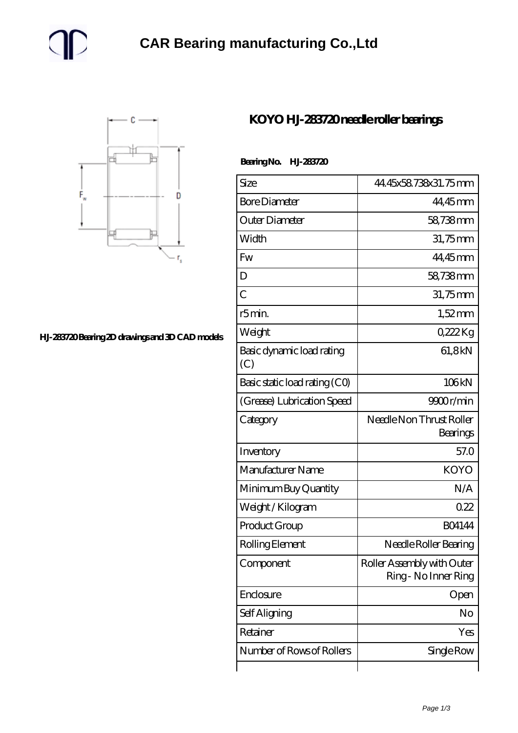



## **[HJ-283720 Bearing 2D drawings and 3D CAD models](https://m.gmgyb.com/pic-47663.html)**

## **[KOYO HJ-283720 needle roller bearings](https://m.gmgyb.com/au-47663-koyo-hj-283720-needle-roller-bearings.html)**

## **Bearing No. HJ-283720**

| Size                             | 44.45x58.738x31.75mm                               |
|----------------------------------|----------------------------------------------------|
| <b>Bore Diameter</b>             | 44,45mm                                            |
| Outer Diameter                   | 58,738mm                                           |
|                                  |                                                    |
| Width                            | 31,75mm                                            |
| Fw                               | 44,45mm                                            |
| D                                | 58,738mm                                           |
| $\overline{C}$                   | 31,75mm                                            |
| r5min.                           | $1,52$ mm                                          |
| Weight                           | 0,222Kg                                            |
| Basic dynamic load rating<br>(C) | 61,8kN                                             |
| Basic static load rating (CO)    | 106kN                                              |
| (Grease) Lubrication Speed       | 9900r/min                                          |
| Category                         | Needle Non Thrust Roller<br>Bearings               |
| Inventory                        | 57.0                                               |
| Manufacturer Name                | <b>KOYO</b>                                        |
| Minimum Buy Quantity             | N/A                                                |
| Weight/Kilogram                  | 0.22                                               |
| Product Group                    | <b>BO4144</b>                                      |
| Rolling Element                  | Needle Roller Bearing                              |
| Component                        | Roller Assembly with Outer<br>Ring - No Inner Ring |
| Enclosure                        | Open                                               |
| Self Aligning                    | No                                                 |
| Retainer                         | Yes                                                |
| Number of Rows of Rollers        | Single Row                                         |
|                                  |                                                    |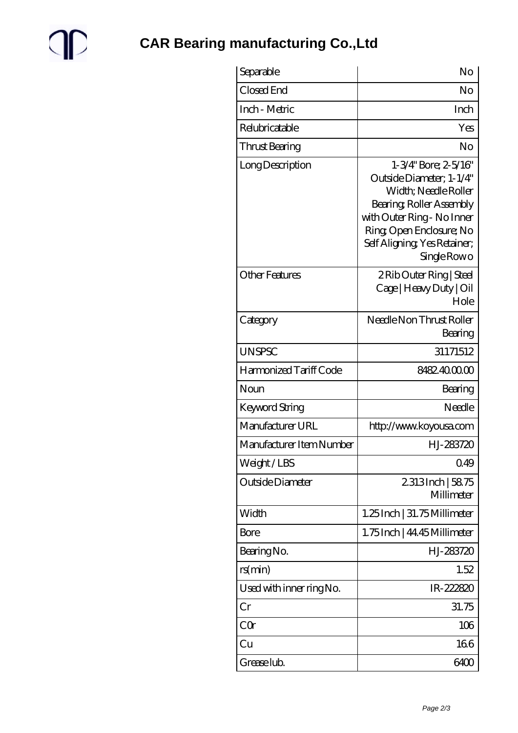

| Separable                | No                                                                                                                                                                                                                    |
|--------------------------|-----------------------------------------------------------------------------------------------------------------------------------------------------------------------------------------------------------------------|
| Closed End               | No                                                                                                                                                                                                                    |
| Inch - Metric            | Inch                                                                                                                                                                                                                  |
| Relubricatable           | Yes                                                                                                                                                                                                                   |
| Thrust Bearing           | No                                                                                                                                                                                                                    |
| Long Description         | $1 - 3/4$ " Bore; $2 - 5/16$ "<br>Outside Diameter: 1-1/4"<br>Width; Needle Roller<br>Bearing, Roller Assembly<br>with Outer Ring - No Inner<br>Ring Open Enclosure; No<br>Self Aligning Yes Retainer;<br>Single Rowo |
| <b>Other Features</b>    | 2 Rib Outer Ring   Steel<br>Cage   Heavy Duty   Oil<br>Hole                                                                                                                                                           |
| Category                 | Needle Non Thrust Roller<br>Bearing                                                                                                                                                                                   |
| <b>UNSPSC</b>            | 31171512                                                                                                                                                                                                              |
| Harmonized Tariff Code   | 8482400000                                                                                                                                                                                                            |
| Noun                     | Bearing                                                                                                                                                                                                               |
| <b>Keyword String</b>    | Needle                                                                                                                                                                                                                |
| Manufacturer URL         | http://www.koyousa.com                                                                                                                                                                                                |
| Manufacturer Item Number | HJ-283720                                                                                                                                                                                                             |
| Weight/LBS               | 0.49                                                                                                                                                                                                                  |
| Outside Diameter         | 2313Inch   5875<br>Millimeter                                                                                                                                                                                         |
| Width                    | 1.25 Inch   31.75 Millimeter                                                                                                                                                                                          |
| Bore                     | 1.75 Inch   44.45 Millimeter                                                                                                                                                                                          |
| Bearing No.              | HJ-283720                                                                                                                                                                                                             |
| rs(min)                  | 1.52                                                                                                                                                                                                                  |
| Used with inner ring No. | IR-222820                                                                                                                                                                                                             |
| Cr                       | 31.75                                                                                                                                                                                                                 |
| CQr                      | 106                                                                                                                                                                                                                   |
| Cu                       | 166                                                                                                                                                                                                                   |
| Grease lub.              | 6400                                                                                                                                                                                                                  |